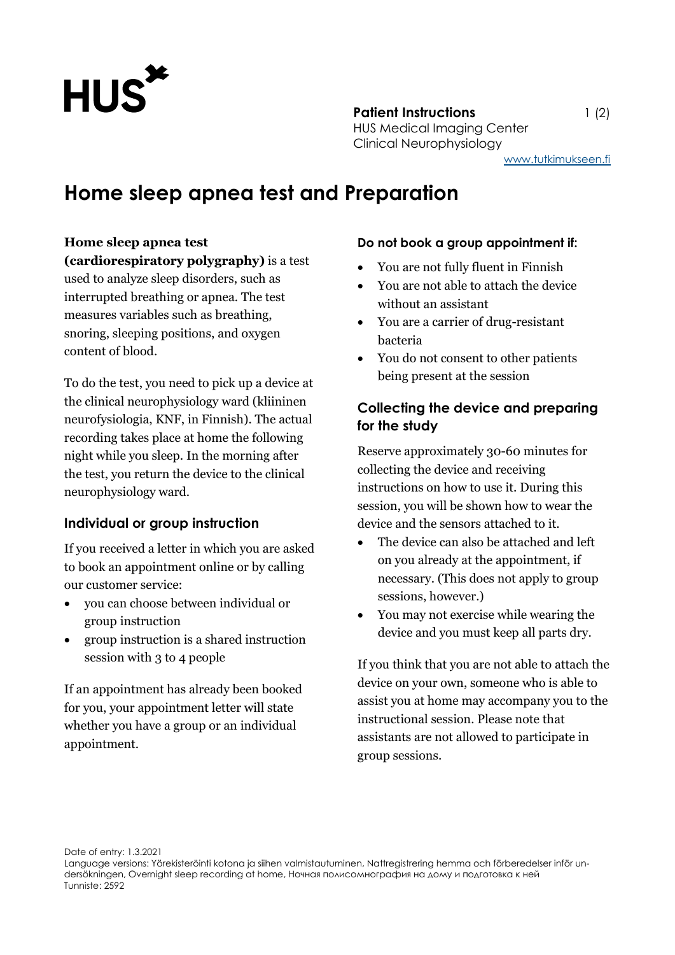

**Patient Instructions** 1 (2) HUS Medical Imaging Center Clinical Neurophysiology [www.tutkimukseen.fi](http://www.tutkimukseen.fi/)

**Home sleep apnea test and Preparation**

#### **Home sleep apnea test**

**(cardiorespiratory polygraphy)** is a test used to analyze sleep disorders, such as interrupted breathing or apnea. The test measures variables such as breathing, snoring, sleeping positions, and oxygen content of blood.

To do the test, you need to pick up a device at the clinical neurophysiology ward (kliininen neurofysiologia, KNF, in Finnish). The actual recording takes place at home the following night while you sleep. In the morning after the test, you return the device to the clinical neurophysiology ward.

#### **Individual or group instruction**

If you received a letter in which you are asked to book an appointment online or by calling our customer service:

- you can choose between individual or group instruction
- group instruction is a shared instruction session with 3 to 4 people

If an appointment has already been booked for you, your appointment letter will state whether you have a group or an individual appointment.

#### **Do not book a group appointment if:**

- You are not fully fluent in Finnish
- You are not able to attach the device without an assistant
- You are a carrier of drug-resistant bacteria
- You do not consent to other patients being present at the session

### **Collecting the device and preparing for the study**

Reserve approximately 30-60 minutes for collecting the device and receiving instructions on how to use it. During this session, you will be shown how to wear the device and the sensors attached to it.

- The device can also be attached and left on you already at the appointment, if necessary. (This does not apply to group sessions, however.)
- You may not exercise while wearing the device and you must keep all parts dry.

If you think that you are not able to attach the device on your own, someone who is able to assist you at home may accompany you to the instructional session. Please note that assistants are not allowed to participate in group sessions.

Date of entry: 1.3.2021

Language versions: Yörekisteröinti kotona ja siihen valmistautuminen, Nattregistrering hemma och förberedelser inför undersökningen, Overnight sleep recording at home, Ночная полисомнография на дому и подготовка к ней Tunniste: 2592